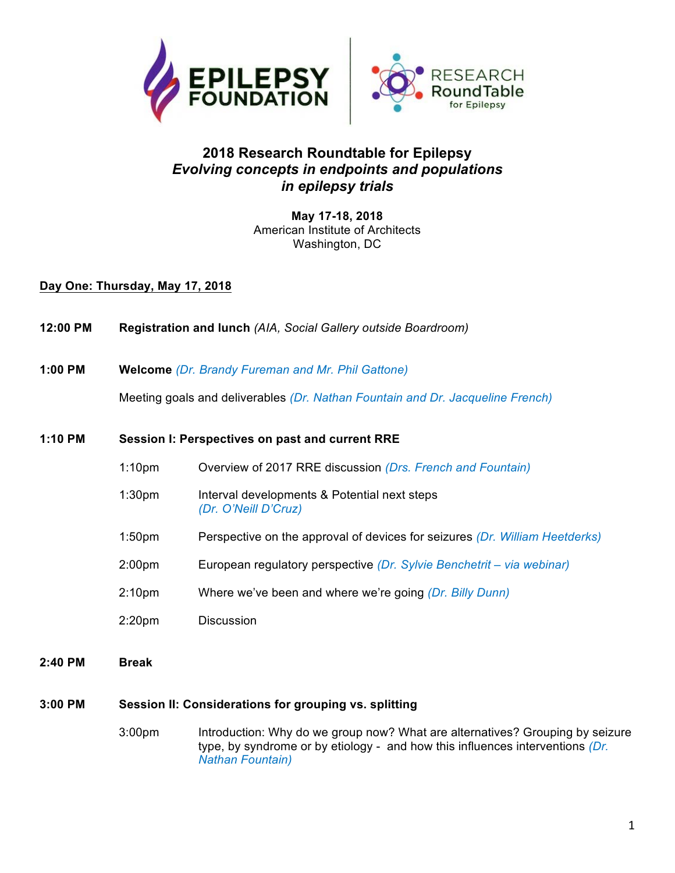

## **2018 Research Roundtable for Epilepsy** *Evolving concepts in endpoints and populations in epilepsy trials*

**May 17-18, 2018** American Institute of Architects Washington, DC

**Day One: Thursday, May 17, 2018**

- **12:00 PM Registration and lunch** *(AIA, Social Gallery outside Boardroom)*
- **1:00 PM Welcome** *(Dr. Brandy Fureman and Mr. Phil Gattone)*

Meeting goals and deliverables *(Dr. Nathan Fountain and Dr. Jacqueline French)*

#### **1:10 PM Session I: Perspectives on past and current RRE**

- 1:10pm Overview of 2017 RRE discussion *(Drs. French and Fountain)*
- 1:30pm Interval developments & Potential next steps *(Dr. O'Neill D'Cruz)*
- 1:50pm Perspective on the approval of devices for seizures *(Dr. William Heetderks)*
- 2:00pm European regulatory perspective *(Dr. Sylvie Benchetrit – via webinar)*
- 2:10pm Where we've been and where we're going *(Dr. Billy Dunn)*
- 2:20pm Discussion
- **2:40 PM Break**

### **3:00 PM Session II: Considerations for grouping vs. splitting**

3:00pm Introduction: Why do we group now? What are alternatives? Grouping by seizure type, by syndrome or by etiology - and how this influences interventions *(Dr. Nathan Fountain)*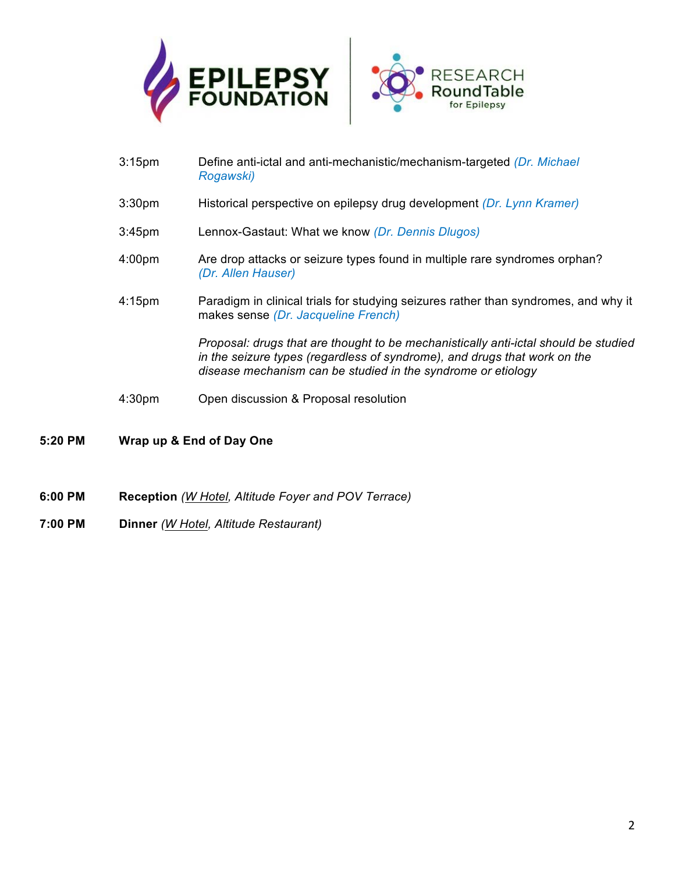



- 3:15pm Define anti-ictal and anti-mechanistic/mechanism-targeted *(Dr. Michael Rogawski)*
- 3:30pm Historical perspective on epilepsy drug development *(Dr. Lynn Kramer)*
- 3:45pm Lennox-Gastaut: What we know *(Dr. Dennis Dlugos)*
- 4:00pm Are drop attacks or seizure types found in multiple rare syndromes orphan? *(Dr. Allen Hauser)*
- 4:15pm Paradigm in clinical trials for studying seizures rather than syndromes, and why it makes sense *(Dr. Jacqueline French)*

*Proposal: drugs that are thought to be mechanistically anti-ictal should be studied in the seizure types (regardless of syndrome), and drugs that work on the disease mechanism can be studied in the syndrome or etiology*

- 4:30pm Open discussion & Proposal resolution
- **5:20 PM Wrap up & End of Day One**
- **6:00 PM Reception** *(W Hotel, Altitude Foyer and POV Terrace)*
- **7:00 PM Dinner** *(W Hotel, Altitude Restaurant)*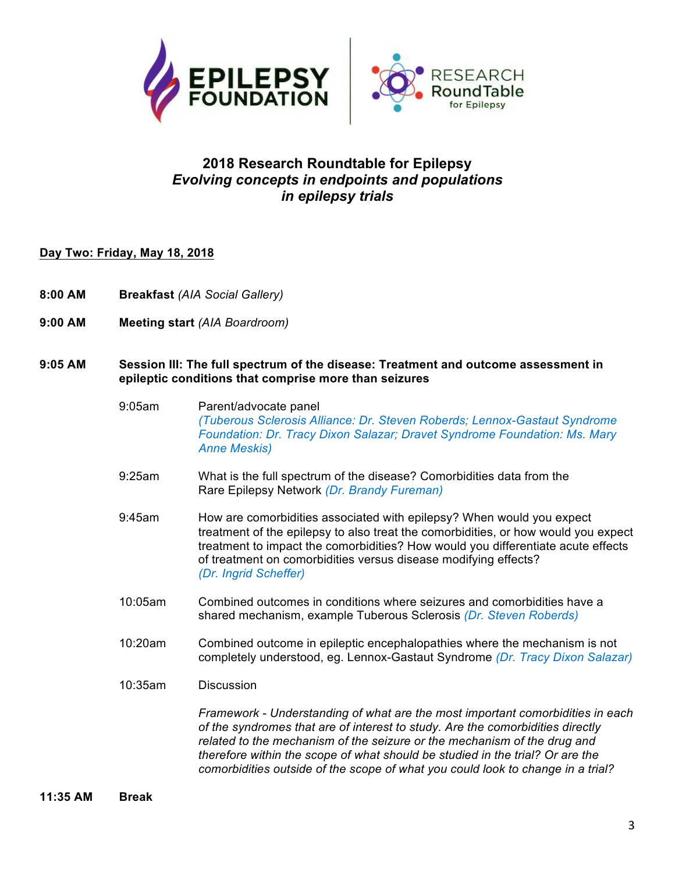



# **2018 Research Roundtable for Epilepsy** *Evolving concepts in endpoints and populations in epilepsy trials*

#### **Day Two: Friday, May 18, 2018**

- **8:00 AM Breakfast** *(AIA Social Gallery)*
- **9:00 AM Meeting start** *(AIA Boardroom)*

#### **9:05 AM Session III: The full spectrum of the disease: Treatment and outcome assessment in epileptic conditions that comprise more than seizures**

- 9:05am Parent/advocate panel *(Tuberous Sclerosis Alliance: Dr. Steven Roberds; Lennox-Gastaut Syndrome Foundation: Dr. Tracy Dixon Salazar; Dravet Syndrome Foundation: Ms. Mary Anne Meskis)*
- 9:25am What is the full spectrum of the disease? Comorbidities data from the Rare Epilepsy Network *(Dr. Brandy Fureman)*
- 9:45am How are comorbidities associated with epilepsy? When would you expect treatment of the epilepsy to also treat the comorbidities, or how would you expect treatment to impact the comorbidities? How would you differentiate acute effects of treatment on comorbidities versus disease modifying effects? *(Dr. Ingrid Scheffer)*
- 10:05am Combined outcomes in conditions where seizures and comorbidities have a shared mechanism, example Tuberous Sclerosis *(Dr. Steven Roberds)*
- 10:20am Combined outcome in epileptic encephalopathies where the mechanism is not completely understood, eg. Lennox-Gastaut Syndrome *(Dr. Tracy Dixon Salazar)*
- 10:35am Discussion

*Framework - Understanding of what are the most important comorbidities in each of the syndromes that are of interest to study. Are the comorbidities directly related to the mechanism of the seizure or the mechanism of the drug and therefore within the scope of what should be studied in the trial? Or are the comorbidities outside of the scope of what you could look to change in a trial?*